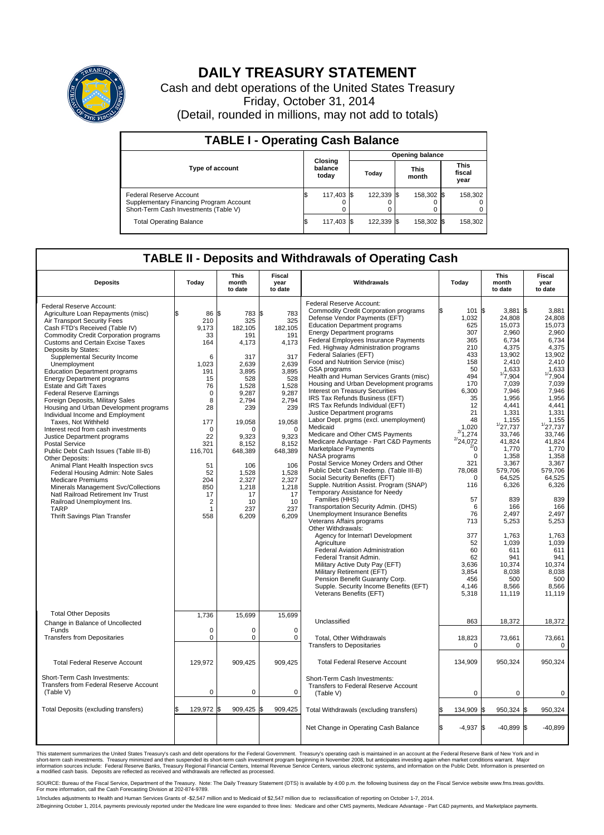

## **DAILY TREASURY STATEMENT**

Cash and debt operations of the United States Treasury Friday, October 31, 2014 (Detail, rounded in millions, may not add to totals)

| <b>TABLE I - Operating Cash Balance</b>                                                                     |                             |            |  |            |  |                      |  |                               |  |  |  |  |  |
|-------------------------------------------------------------------------------------------------------------|-----------------------------|------------|--|------------|--|----------------------|--|-------------------------------|--|--|--|--|--|
| <b>Opening balance</b>                                                                                      |                             |            |  |            |  |                      |  |                               |  |  |  |  |  |
| Type of account                                                                                             | Closing<br>balance<br>today |            |  | Today      |  | <b>This</b><br>month |  | <b>This</b><br>fiscal<br>year |  |  |  |  |  |
| Federal Reserve Account<br>Supplementary Financing Program Account<br>Short-Term Cash Investments (Table V) |                             | 117,403 \$ |  | 122,339 \$ |  | 158,302 \$           |  | 158,302                       |  |  |  |  |  |
| <b>Total Operating Balance</b>                                                                              | ß.                          | 117,403 \$ |  | 122,339 \$ |  | 158,302 \$           |  | 158,302                       |  |  |  |  |  |

## **TABLE II - Deposits and Withdrawals of Operating Cash**

| <b>Deposits</b>                                                                                                                                                                                                                                                                                                                                                                                                                                                                                                                                                                                                                                                                                                                                                                                                                                                                                                                                                                                                  | Today                                                                                                                                                                                                      | This<br>month<br>to date                                                                                                                                                                                                           | Fiscal<br>year<br>to date                                                                                                                                                                                                | Withdrawals                                                                                                                                                                                                                                                                                                                                                                                                                                                                                                                                                                                                                                                                                                                                                                                                                                                                                                                                                                                                                                                                                                                                                                                                                                                                                                                                                                                                                   |    | Today                                                                                                                                                                                                                                                                                                           | <b>This</b><br>month<br>to date                                                                                                                                                                                                                                                                                                                              | Fiscal<br>year<br>to date                                                                                                                                                                                                                                                                                                                               |
|------------------------------------------------------------------------------------------------------------------------------------------------------------------------------------------------------------------------------------------------------------------------------------------------------------------------------------------------------------------------------------------------------------------------------------------------------------------------------------------------------------------------------------------------------------------------------------------------------------------------------------------------------------------------------------------------------------------------------------------------------------------------------------------------------------------------------------------------------------------------------------------------------------------------------------------------------------------------------------------------------------------|------------------------------------------------------------------------------------------------------------------------------------------------------------------------------------------------------------|------------------------------------------------------------------------------------------------------------------------------------------------------------------------------------------------------------------------------------|--------------------------------------------------------------------------------------------------------------------------------------------------------------------------------------------------------------------------|-------------------------------------------------------------------------------------------------------------------------------------------------------------------------------------------------------------------------------------------------------------------------------------------------------------------------------------------------------------------------------------------------------------------------------------------------------------------------------------------------------------------------------------------------------------------------------------------------------------------------------------------------------------------------------------------------------------------------------------------------------------------------------------------------------------------------------------------------------------------------------------------------------------------------------------------------------------------------------------------------------------------------------------------------------------------------------------------------------------------------------------------------------------------------------------------------------------------------------------------------------------------------------------------------------------------------------------------------------------------------------------------------------------------------------|----|-----------------------------------------------------------------------------------------------------------------------------------------------------------------------------------------------------------------------------------------------------------------------------------------------------------------|--------------------------------------------------------------------------------------------------------------------------------------------------------------------------------------------------------------------------------------------------------------------------------------------------------------------------------------------------------------|---------------------------------------------------------------------------------------------------------------------------------------------------------------------------------------------------------------------------------------------------------------------------------------------------------------------------------------------------------|
| Federal Reserve Account:<br>Agriculture Loan Repayments (misc)<br>Air Transport Security Fees<br>Cash FTD's Received (Table IV)<br><b>Commodity Credit Corporation programs</b><br><b>Customs and Certain Excise Taxes</b><br>Deposits by States:<br>Supplemental Security Income<br>Unemployment<br><b>Education Department programs</b><br><b>Energy Department programs</b><br>Estate and Gift Taxes<br><b>Federal Reserve Earnings</b><br>Foreign Deposits, Military Sales<br>Housing and Urban Development programs<br>Individual Income and Employment<br>Taxes, Not Withheld<br>Interest recd from cash investments<br>Justice Department programs<br><b>Postal Service</b><br>Public Debt Cash Issues (Table III-B)<br>Other Deposits:<br>Animal Plant Health Inspection svcs<br>Federal Housing Admin: Note Sales<br><b>Medicare Premiums</b><br>Minerals Management Svc/Collections<br>Natl Railroad Retirement Inv Trust<br>Railroad Unemployment Ins.<br><b>TARP</b><br>Thrift Savings Plan Transfer | \$<br>86<br>210<br>9.173<br>33<br>164<br>6<br>1.023<br>191<br>15<br>76<br>$\Omega$<br>8<br>28<br>177<br>0<br>22<br>321<br>116,701<br>51<br>52<br>204<br>850<br>17<br>$\overline{2}$<br>$\mathbf{1}$<br>558 | 783 \$<br>l\$<br>325<br>182.105<br>191<br>4,173<br>317<br>2.639<br>3,895<br>528<br>1,528<br>9.287<br>2,794<br>239<br>19,058<br>$\Omega$<br>9,323<br>8.152<br>648,389<br>106<br>1,528<br>2,327<br>1,218<br>17<br>10<br>237<br>6,209 | 783<br>325<br>182.105<br>191<br>4,173<br>317<br>2,639<br>3,895<br>528<br>1,528<br>9,287<br>2,794<br>239<br>19,058<br>$\Omega$<br>9,323<br>8.152<br>648,389<br>106<br>1,528<br>2,327<br>1,218<br>17<br>10<br>237<br>6,209 | Federal Reserve Account:<br><b>Commodity Credit Corporation programs</b><br>Defense Vendor Payments (EFT)<br><b>Education Department programs</b><br><b>Energy Department programs</b><br>Federal Employees Insurance Payments<br>Fed. Highway Administration programs<br><b>Federal Salaries (EFT)</b><br>Food and Nutrition Service (misc)<br><b>GSA</b> programs<br>Health and Human Services Grants (misc)<br>Housing and Urban Development programs<br>Interest on Treasury Securities<br>IRS Tax Refunds Business (EFT)<br>IRS Tax Refunds Individual (EFT)<br>Justice Department programs<br>Labor Dept. prgms (excl. unemployment)<br>Medicaid<br>Medicare and Other CMS Payments<br>Medicare Advantage - Part C&D Payments<br><b>Marketplace Payments</b><br>NASA programs<br>Postal Service Money Orders and Other<br>Public Debt Cash Redemp. (Table III-B)<br>Social Security Benefits (EFT)<br>Supple. Nutrition Assist. Program (SNAP)<br>Temporary Assistance for Needy<br>Families (HHS)<br>Transportation Security Admin. (DHS)<br>Unemployment Insurance Benefits<br>Veterans Affairs programs<br>Other Withdrawals:<br>Agency for Internat'l Development<br>Agriculture<br>Federal Aviation Administration<br>Federal Transit Admin.<br>Military Active Duty Pay (EFT)<br>Military Retirement (EFT)<br>Pension Benefit Guaranty Corp.<br>Supple. Security Income Benefits (EFT)<br>Veterans Benefits (EFT) |    | 101<br>\$<br>1,032<br>625<br>307<br>365<br>210<br>433<br>158<br>50<br>494<br>170<br>6,300<br>35<br>12<br>21<br>48<br>1,020<br>$^{2/1,274}$<br>$^{2/24,072}$<br>$^{2/0}$<br>$\mathbf 0$<br>321<br>78,068<br>0<br>116<br>57<br>6<br>76<br>713<br>377<br>52<br>60<br>62<br>3.636<br>3,854<br>456<br>4,146<br>5,318 | $3,881$ \$<br>24,808<br>15,073<br>2,960<br>6,734<br>4,375<br>13.902<br>2,410<br>1,633<br>1/7,904<br>7,039<br>7,946<br>1,956<br>4,441<br>1,331<br>1,155<br>1/27,737<br>33,746<br>41,824<br>1,770<br>1,358<br>3,367<br>579,706<br>64,525<br>6,326<br>839<br>166<br>2.497<br>5,253<br>1,763<br>1,039<br>611<br>941<br>10.374<br>8,038<br>500<br>8,566<br>11,119 | 3.881<br>24,808<br>15,073<br>2.960<br>6,734<br>4,375<br>13.902<br>2,410<br>1,633<br>1/7,904<br>7.039<br>7,946<br>1,956<br>4.441<br>1,331<br>1,155<br>1/27,737<br>33,746<br>41,824<br>1.770<br>1,358<br>3,367<br>579.706<br>64,525<br>6,326<br>839<br>166<br>2.497<br>5,253<br>1,763<br>1.039<br>611<br>941<br>10.374<br>8,038<br>500<br>8,566<br>11,119 |
| <b>Total Other Deposits</b><br>Change in Balance of Uncollected<br>Funds<br><b>Transfers from Depositaries</b>                                                                                                                                                                                                                                                                                                                                                                                                                                                                                                                                                                                                                                                                                                                                                                                                                                                                                                   | 1,736<br>$\mathbf 0$<br>0                                                                                                                                                                                  | 15,699<br>$\mathbf 0$<br>$\pmb{0}$                                                                                                                                                                                                 | 15,699<br>$\mathbf 0$<br>0                                                                                                                                                                                               | Unclassified<br>Total, Other Withdrawals<br><b>Transfers to Depositaries</b>                                                                                                                                                                                                                                                                                                                                                                                                                                                                                                                                                                                                                                                                                                                                                                                                                                                                                                                                                                                                                                                                                                                                                                                                                                                                                                                                                  |    | 863<br>18,823<br>$\Omega$                                                                                                                                                                                                                                                                                       | 18,372<br>73,661<br>$\Omega$                                                                                                                                                                                                                                                                                                                                 | 18,372<br>73,661<br>0                                                                                                                                                                                                                                                                                                                                   |
| <b>Total Federal Reserve Account</b>                                                                                                                                                                                                                                                                                                                                                                                                                                                                                                                                                                                                                                                                                                                                                                                                                                                                                                                                                                             | 129.972                                                                                                                                                                                                    | 909.425                                                                                                                                                                                                                            | 909.425                                                                                                                                                                                                                  | <b>Total Federal Reserve Account</b>                                                                                                                                                                                                                                                                                                                                                                                                                                                                                                                                                                                                                                                                                                                                                                                                                                                                                                                                                                                                                                                                                                                                                                                                                                                                                                                                                                                          |    | 134,909                                                                                                                                                                                                                                                                                                         | 950,324                                                                                                                                                                                                                                                                                                                                                      | 950,324                                                                                                                                                                                                                                                                                                                                                 |
| Short-Term Cash Investments:<br><b>Transfers from Federal Reserve Account</b><br>(Table V)                                                                                                                                                                                                                                                                                                                                                                                                                                                                                                                                                                                                                                                                                                                                                                                                                                                                                                                       | 0                                                                                                                                                                                                          | $\pmb{0}$                                                                                                                                                                                                                          | 0                                                                                                                                                                                                                        | Short-Term Cash Investments:<br>Transfers to Federal Reserve Account<br>(Table V)                                                                                                                                                                                                                                                                                                                                                                                                                                                                                                                                                                                                                                                                                                                                                                                                                                                                                                                                                                                                                                                                                                                                                                                                                                                                                                                                             |    | $\mathbf 0$                                                                                                                                                                                                                                                                                                     | 0                                                                                                                                                                                                                                                                                                                                                            | 0                                                                                                                                                                                                                                                                                                                                                       |
| Total Deposits (excluding transfers)                                                                                                                                                                                                                                                                                                                                                                                                                                                                                                                                                                                                                                                                                                                                                                                                                                                                                                                                                                             | 129,972                                                                                                                                                                                                    | 909,425<br>1\$                                                                                                                                                                                                                     | 1\$<br>909,425                                                                                                                                                                                                           | Total Withdrawals (excluding transfers)                                                                                                                                                                                                                                                                                                                                                                                                                                                                                                                                                                                                                                                                                                                                                                                                                                                                                                                                                                                                                                                                                                                                                                                                                                                                                                                                                                                       |    | 134,909<br>l\$                                                                                                                                                                                                                                                                                                  | 950,324 \$                                                                                                                                                                                                                                                                                                                                                   | 950,324                                                                                                                                                                                                                                                                                                                                                 |
|                                                                                                                                                                                                                                                                                                                                                                                                                                                                                                                                                                                                                                                                                                                                                                                                                                                                                                                                                                                                                  |                                                                                                                                                                                                            |                                                                                                                                                                                                                                    |                                                                                                                                                                                                                          | Net Change in Operating Cash Balance                                                                                                                                                                                                                                                                                                                                                                                                                                                                                                                                                                                                                                                                                                                                                                                                                                                                                                                                                                                                                                                                                                                                                                                                                                                                                                                                                                                          | ß. | $-4,937$<br>l\$                                                                                                                                                                                                                                                                                                 | $-40,899$ \$                                                                                                                                                                                                                                                                                                                                                 | $-40,899$                                                                                                                                                                                                                                                                                                                                               |

This statement summarizes the United States Treasury's cash and debt operations for the Federal Government. Treasury's operating cash is maintained in an account at the Federal Reserve Bank of New York and in<br>short-term ca

SOURCE: Bureau of the Fiscal Service, Department of the Treasury. Note: The Daily Treasury Statement (DTS) is available by 4:00 p.m. the following business day on the Fiscal Service website www.fms.treas.gov/dts.<br>For more

1/Includes adjustments to Health and Human Services Grants of -\$2,547 million and to Medicaid of \$2,547 million due to reclassification of reporting on October 1-7, 2014. 2/Beginning October 1, 2014, payments previously reported under the Medicare line were expanded to three lines: Medicare and other CMS payments, Medicare Advantage - Part C&D payments, and Marketplace payments.